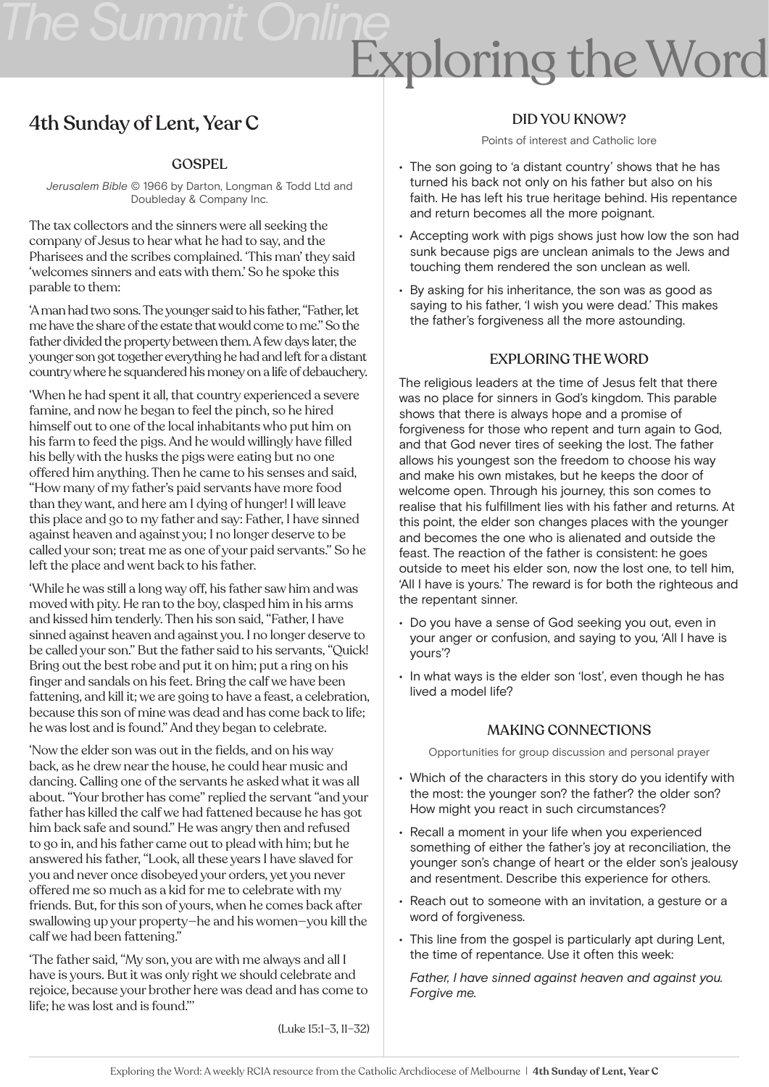# *The Summit Online* Exploring the Word

## 4th Sunday of Lent, Year C

### GOSPEL

*Jerusalem Bible* © 1966 by Darton, Longman & Todd Ltd and Doubleday & Company Inc.

The tax collectors and the sinners were all seeking the company of Jesus to hear what he had to say, and the Pharisees and the scribes complained. 'This man' they said 'welcomes sinners and eats with them.' So he spoke this parable to them:

'A man had two sons. The younger said to his father, "Father, let me have the share of the estate that would come to me." So the father divided the property between them. A few days later, the younger son got together everything he had and left for a distant country where he squandered his money on a life of debauchery.

'When he had spent it all, that country experienced a severe famine, and now he began to feel the pinch, so he hired himself out to one of the local inhabitants who put him on his farm to feed the pigs. And he would willingly have filled his belly with the husks the pigs were eating but no one offered him anything. Then he came to his senses and said, "How many of my father's paid servants have more food than they want, and here am I dying of hunger! I will leave this place and go to my father and say: Father, I have sinned against heaven and against you; I no longer deserve to be called your son; treat me as one of your paid servants." So he left the place and went back to his father.

'While he was still a long way off, his father saw him and was moved with pity. He ran to the boy, clasped him in his arms and kissed him tenderly. Then his son said, "Father, I have sinned against heaven and against you. I no longer deserve to be called your son." But the father said to his servants, "Quick! Bring out the best robe and put it on him; put a ring on his finger and sandals on his feet. Bring the calf we have been fattening, and kill it; we are going to have a feast, a celebration, because this son of mine was dead and has come back to life; he was lost and is found." And they began to celebrate.

'Now the elder son was out in the fields, and on his way back, as he drew near the house, he could hear music and dancing. Calling one of the servants he asked what it was all about. "Your brother has come" replied the servant "and your father has killed the calf we had fattened because he has got him back safe and sound." He was angry then and refused to go in, and his father came out to plead with him; but he answered his father, "Look, all these years I have slaved for you and never once disobeyed your orders, yet you never offered me so much as a kid for me to celebrate with my friends. But, for this son of yours, when he comes back after swallowing up your property—he and his women—you kill the calf we had been fattening."

'The father said, "My son, you are with me always and all I have is yours. But it was only right we should celebrate and rejoice, because your brother here was dead and has come to life; he was lost and is found."'

(Luke 15:1–3, 11–32)

### DID YOU KNOW?

Points of interest and Catholic lore

- The son going to 'a distant country' shows that he has turned his back not only on his father but also on his faith. He has left his true heritage behind. His repentance and return becomes all the more poignant.
- Accepting work with pigs shows just how low the son had sunk because pigs are unclean animals to the Jews and touching them rendered the son unclean as well.
- By asking for his inheritance, the son was as good as saying to his father, 'I wish you were dead.' This makes the father's forgiveness all the more astounding.

### EXPLORING THE WORD

The religious leaders at the time of Jesus felt that there was no place for sinners in God's kingdom. This parable shows that there is always hope and a promise of forgiveness for those who repent and turn again to God, and that God never tires of seeking the lost. The father allows his youngest son the freedom to choose his way and make his own mistakes, but he keeps the door of welcome open. Through his journey, this son comes to realise that his fulfillment lies with his father and returns. At this point, the elder son changes places with the younger and becomes the one who is alienated and outside the feast. The reaction of the father is consistent: he goes outside to meet his elder son, now the lost one, to tell him, 'All I have is yours.' The reward is for both the righteous and the repentant sinner.

- Do you have a sense of God seeking you out, even in your anger or confusion, and saying to you, 'All I have is yours'?
- In what ways is the elder son 'lost', even though he has lived a model life?

### MAKING CONNECTIONS

Opportunities for group discussion and personal prayer

- Which of the characters in this story do you identify with the most: the younger son? the father? the older son? How might you react in such circumstances?
- Recall a moment in your life when you experienced something of either the father's joy at reconciliation, the younger son's change of heart or the elder son's jealousy and resentment. Describe this experience for others.
- Reach out to someone with an invitation, a gesture or a word of forgiveness.
- This line from the gospel is particularly apt during Lent, the time of repentance. Use it often this week:

*Father, I have sinned against heaven and against you. Forgive me.*